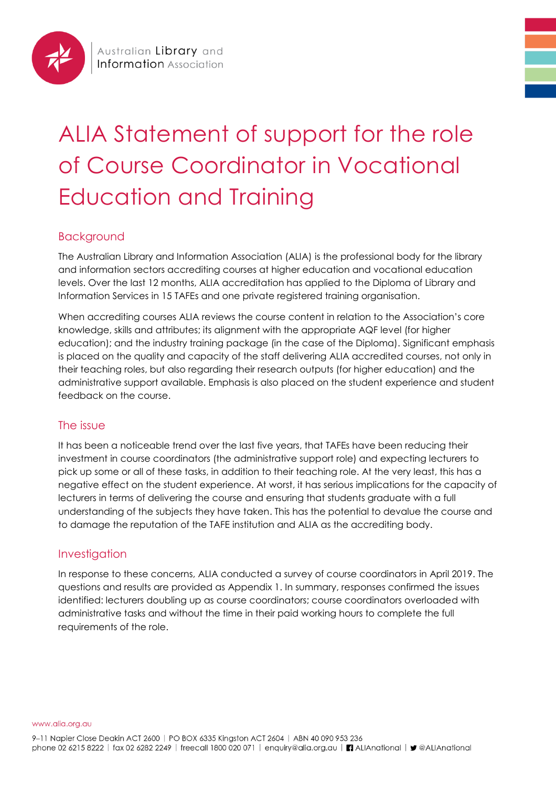

# ALIA Statement of support for the role of Course Coordinator in Vocational Education and Training

# Background

The Australian Library and Information Association (ALIA) is the professional body for the library and information sectors accrediting courses at higher education and vocational education levels. Over the last 12 months, ALIA accreditation has applied to the Diploma of Library and Information Services in 15 TAFEs and one private registered training organisation.

When accrediting courses ALIA reviews the course content in relation to the Association's core knowledge, skills and attributes; its alignment with the appropriate AQF level (for higher education); and the industry training package (in the case of the Diploma). Significant emphasis is placed on the quality and capacity of the staff delivering ALIA accredited courses, not only in their teaching roles, but also regarding their research outputs (for higher education) and the administrative support available. Emphasis is also placed on the student experience and student feedback on the course.

## The issue

It has been a noticeable trend over the last five years, that TAFEs have been reducing their investment in course coordinators (the administrative support role) and expecting lecturers to pick up some or all of these tasks, in addition to their teaching role. At the very least, this has a negative effect on the student experience. At worst, it has serious implications for the capacity of lecturers in terms of delivering the course and ensuring that students graduate with a full understanding of the subjects they have taken. This has the potential to devalue the course and to damage the reputation of the TAFE institution and ALIA as the accrediting body.

## Investigation

In response to these concerns, ALIA conducted a survey of course coordinators in April 2019. The questions and results are provided as Appendix 1. In summary, responses confirmed the issues identified: lecturers doubling up as course coordinators; course coordinators overloaded with administrative tasks and without the time in their paid working hours to complete the full requirements of the role.

www.alia.org.au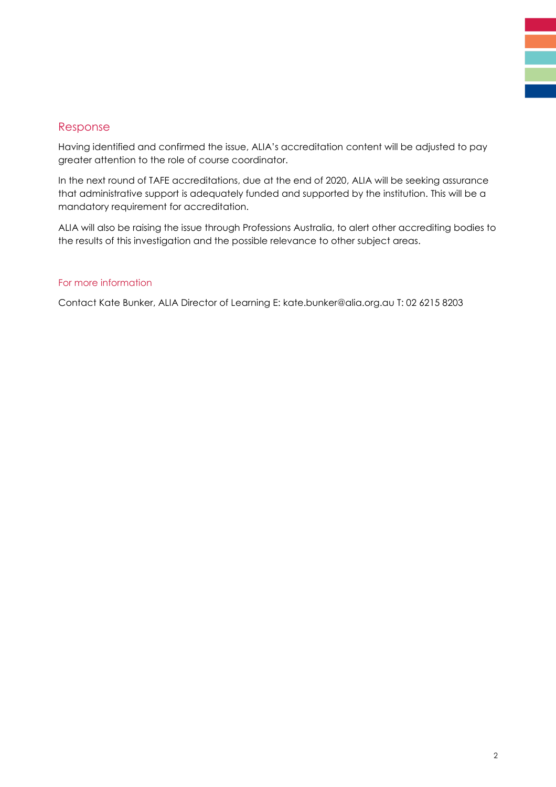### Response

Having identified and confirmed the issue, ALIA's accreditation content will be adjusted to pay greater attention to the role of course coordinator.

In the next round of TAFE accreditations, due at the end of 2020, ALIA will be seeking assurance that administrative support is adequately funded and supported by the institution. This will be a mandatory requirement for accreditation.

ALIA will also be raising the issue through Professions Australia, to alert other accrediting bodies to the results of this investigation and the possible relevance to other subject areas.

#### For more information

Contact Kate Bunker, ALIA Director of Learning E: kate.bunker@alia.org.au T: 02 6215 8203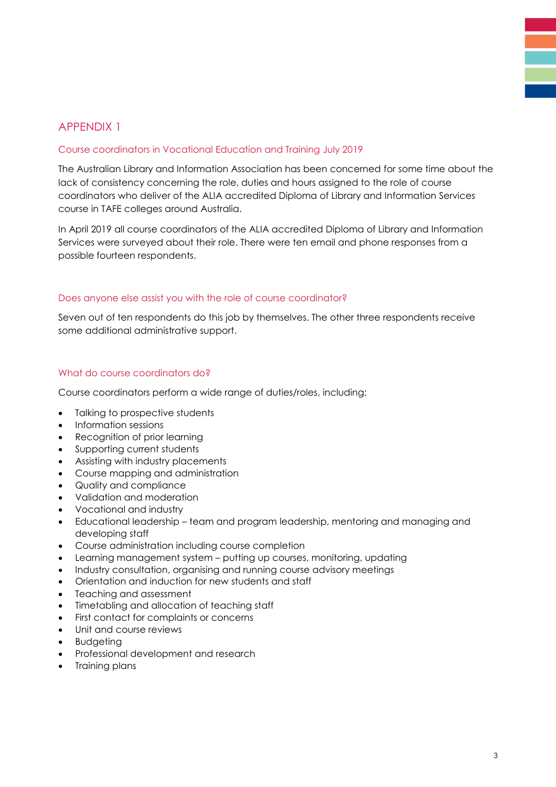## APPENDIX 1

#### Course coordinators in Vocational Education and Training July 2019

The Australian Library and Information Association has been concerned for some time about the lack of consistency concerning the role, duties and hours assigned to the role of course coordinators who deliver of the ALIA accredited Diploma of Library and Information Services course in TAFE colleges around Australia.

In April 2019 all course coordinators of the ALIA accredited Diploma of Library and Information Services were surveyed about their role. There were ten email and phone responses from a possible fourteen respondents.

#### Does anyone else assist you with the role of course coordinator?

Seven out of ten respondents do this job by themselves. The other three respondents receive some additional administrative support.

#### What do course coordinators do?

Course coordinators perform a wide range of duties/roles, including;

- Talking to prospective students
- Information sessions
- Recognition of prior learning
- Supporting current students
- Assisting with industry placements
- Course mapping and administration
- Quality and compliance
- Validation and moderation
- Vocational and industry
- Educational leadership team and program leadership, mentoring and managing and developing staff
- Course administration including course completion
- Learning management system putting up courses, monitoring, updating
- Industry consultation, organising and running course advisory meetings
- Orientation and induction for new students and staff
- Teaching and assessment
- Timetabling and allocation of teaching staff
- First contact for complaints or concerns
- Unit and course reviews
- **Budgeting**
- Professional development and research
- Training plans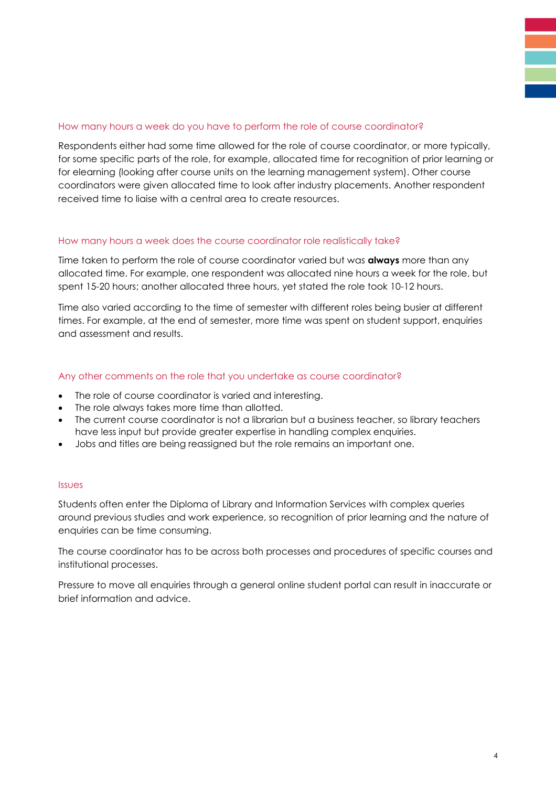#### How many hours a week do you have to perform the role of course coordinator?

Respondents either had some time allowed for the role of course coordinator, or more typically, for some specific parts of the role, for example, allocated time for recognition of prior learning or for elearning (looking after course units on the learning management system). Other course coordinators were given allocated time to look after industry placements. Another respondent received time to liaise with a central area to create resources.

#### How many hours a week does the course coordinator role realistically take?

Time taken to perform the role of course coordinator varied but was **always** more than any allocated time. For example, one respondent was allocated nine hours a week for the role, but spent 15-20 hours; another allocated three hours, yet stated the role took 10-12 hours.

Time also varied according to the time of semester with different roles being busier at different times. For example, at the end of semester, more time was spent on student support, enquiries and assessment and results.

#### Any other comments on the role that you undertake as course coordinator?

- The role of course coordinator is varied and interesting.
- The role always takes more time than allotted.
- The current course coordinator is not a librarian but a business teacher, so library teachers have less input but provide greater expertise in handling complex enquiries.
- Jobs and titles are being reassigned but the role remains an important one.

#### Issues

Students often enter the Diploma of Library and Information Services with complex queries around previous studies and work experience, so recognition of prior learning and the nature of enquiries can be time consuming.

The course coordinator has to be across both processes and procedures of specific courses and institutional processes.

Pressure to move all enquiries through a general online student portal can result in inaccurate or brief information and advice.